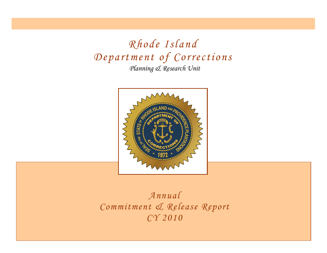*Planning & Research Unit Rhode Island Department of Corrections*



*Annual Commitment & Release Report CY 2010*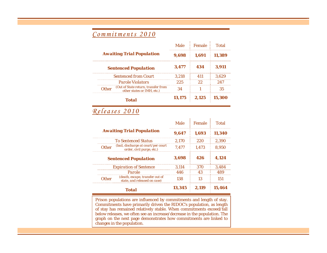## *Commitments 2010*

|  | <b>Awaiting Trial Population</b> |                                                                         | Male  | <b>Female</b> | Total  |
|--|----------------------------------|-------------------------------------------------------------------------|-------|---------------|--------|
|  |                                  |                                                                         | 9,698 | 1,691         | 11,389 |
|  |                                  | <b>Sentenced Population</b>                                             | 3.477 | 434           | 3.911  |
|  |                                  | <b>Sentenced from Court</b>                                             | 3.218 |               |        |
|  | <b>Parole Violators</b>          |                                                                         | 225   | 22            |        |
|  |                                  | Other (Out of State return, transfer from<br>other states or IMH, etc.) |       |               | 35     |
|  |                                  | Total                                                                   |       | 13.175 2.125  | 15.300 |

## *Releases 2010*

|              |                                                                  | <b>Male</b> | Female | Total  |
|--------------|------------------------------------------------------------------|-------------|--------|--------|
|              | <b>Awaiting Trial Population</b>                                 |             | 1.693  | 11.340 |
|              | <b>To Sentenced Status</b>                                       |             | 220    | 2.390  |
| <b>Other</b> | (bail, discharge at court/per court<br>order, civil purge, etc.) | 7.477       | 1.473  | 8.950  |
|              | <b>Sentenced Population</b>                                      |             | 426    | 4.124  |
|              | <b>Expiration of Sentence</b>                                    |             | 370    | 3.484  |
|              | Parole                                                           |             | 43     | 489    |
| <b>Other</b> | (death, escape, transfer out of<br>state, and released on case)  | 138         | 13     | 151    |
|              | <b>Total</b>                                                     | 13.345      | 2.119  | 15.464 |

Prison populations are influenced by commitments and length of stay. Commitments have primarily driven the RIDOC's population, as length of stay has remained relatively stable. When commitments exceed/fall below releases, we often see an increase/decrease in the population. The graph on the next page demonstrates how commitments are linked to changes in the population.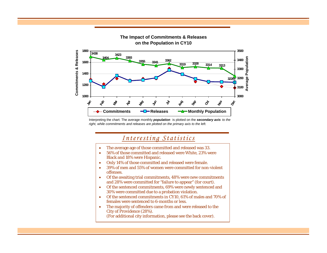

**The Impact of Commitments & Releases** 

Interpreting the chart: The average monthly *population* is plotted on the *secondary axis to the right, while commitments and releases are plotted on the primary axis to the left.*

## *Interesting Statistics*

- •The average age of those committed and released was 33.
- • 56% of those committed and released were White, 23% were Black and 18% were Hispanic.
- •Only 14% of those committed and released were female.
- • 39% of men and 55% of women were committed for non-violent offenses.
- • Of the awaiting trial commitments, 48% were new commitments and 28% were committed for "failure to appear" (for court).
- • Of the sentenced commitments, 69% were newly sentenced and 30% were committed due to a probation violation.
- • Of the sentenced commitments in CY10, 61% of males and 70% of females were sentenced to 6-months or less.
- • The majority of offenders came from and were released to the City of Providence (28%).

(For additional city information, please see the back cover).